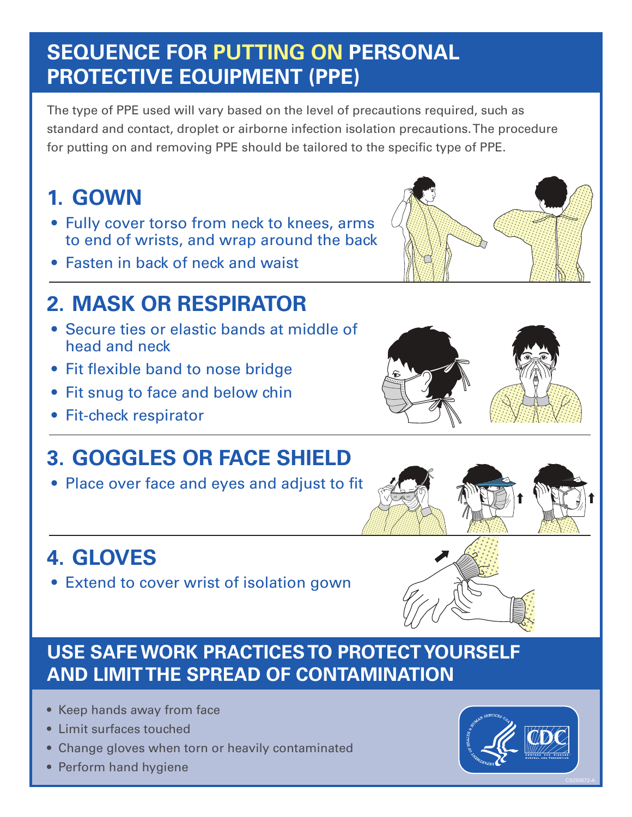## **SEQUENCE FOR PUTTING ON PERSONAL PROTECTIVE EQUIPMENT (PPE)**

The type of PPE used will vary based on the level of precautions required, such as standard and contact, droplet or airborne infection isolation precautions. The procedure for putting on and removing PPE should be tailored to the specific type of PPE.

# **1. GOWN**

- Fully cover torso from neck to knees, arms to end of wrists, and wrap around the back
- Fasten in back of neck and waist

# **2. MASK OR RESPIRATOR**

- Secure ties or elastic bands at middle of head and neck
- Fit flexible band to nose bridge
- Fit snug to face and below chin
- Fit-check respirator

# **3. GOGGLES OR FACE SHIELD**

• Place over face and eyes and adjust to fit

# **4. GLOVES**

• Extend to cover wrist of isolation gown

### **USE SAFE WORK PRACTICES TO PROTECT YOURSELF AND LIMIT THE SPREAD OF CONTAMINATION**

- Keep hands away from face
- Limit surfaces touched
- Change gloves when torn or heavily contaminated
- Perform hand hygiene